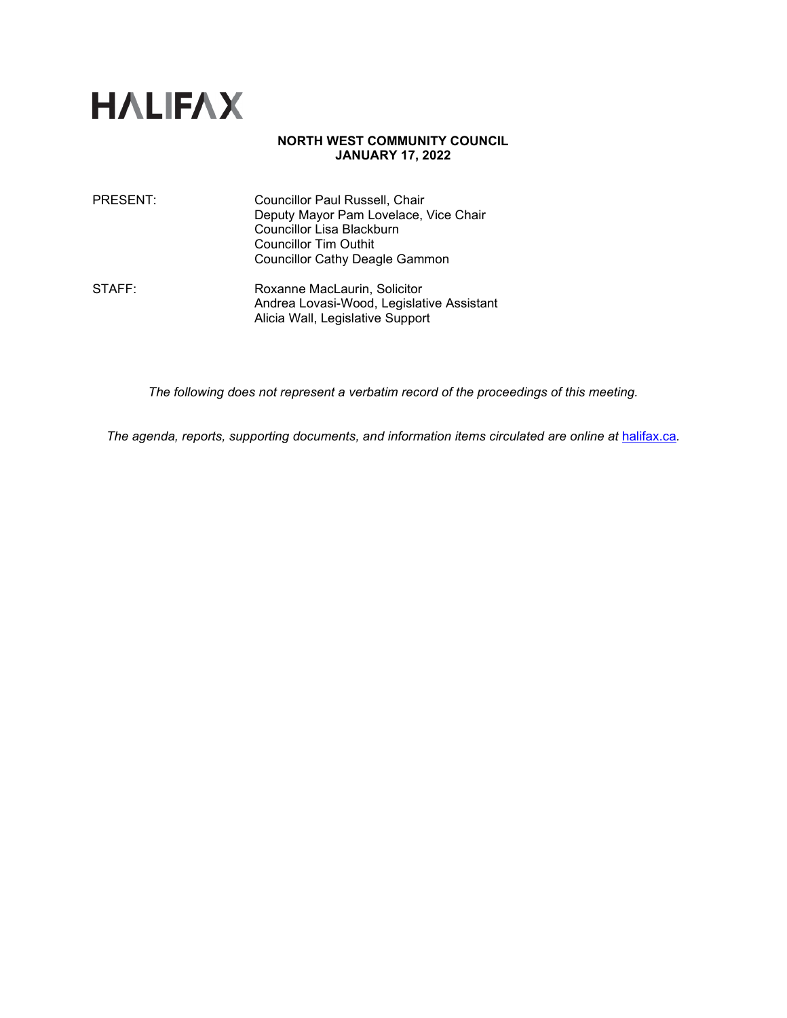

## **NORTH WEST COMMUNITY COUNCIL JANUARY 17, 2022**

| PRESENT: | Councillor Paul Russell, Chair<br>Deputy Mayor Pam Lovelace, Vice Chair<br>Councillor Lisa Blackburn<br><b>Councillor Tim Outhit</b><br><b>Councillor Cathy Deagle Gammon</b> |
|----------|-------------------------------------------------------------------------------------------------------------------------------------------------------------------------------|
| STAFF:   | Roxanne MacLaurin, Solicitor                                                                                                                                                  |

Andrea Lovasi-Wood, Legislative Assistant Alicia Wall, Legislative Support

*The following does not represent a verbatim record of the proceedings of this meeting.*

*The agenda, reports, supporting documents, and information items circulated are online at* [halifax.ca](http://www.halifax.ca/)*.*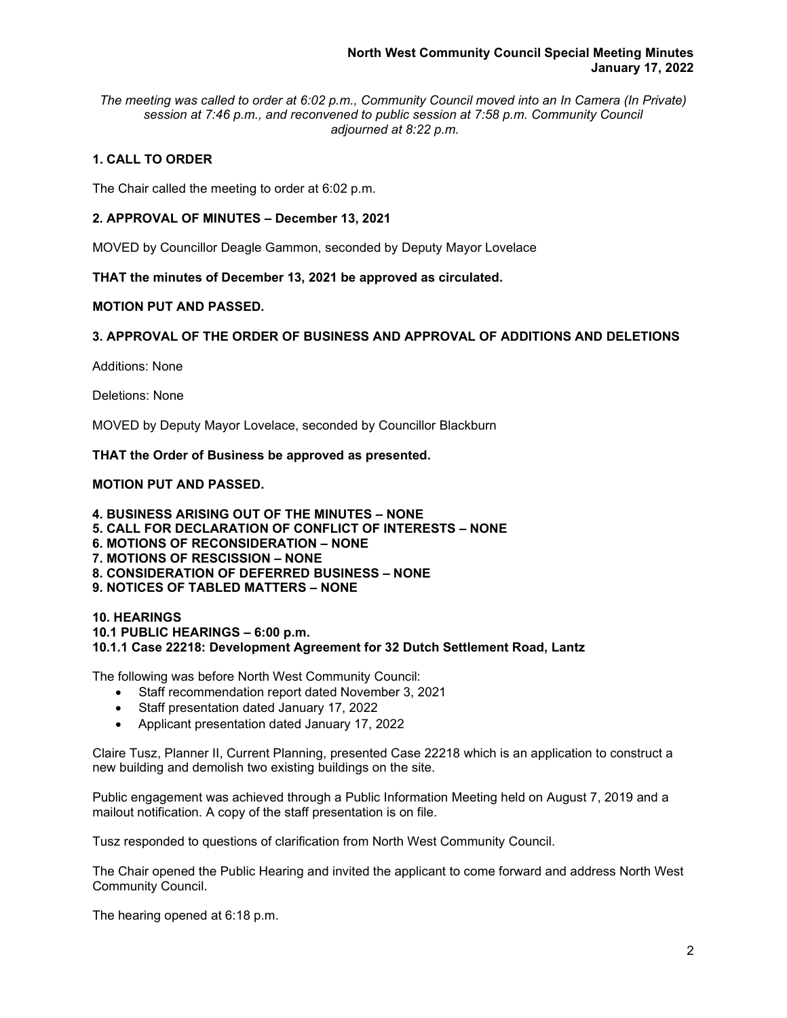*The meeting was called to order at 6:02 p.m., Community Council moved into an In Camera (In Private) session at 7:46 p.m., and reconvened to public session at 7:58 p.m. Community Council adjourned at 8:22 p.m.*

# **1. CALL TO ORDER**

The Chair called the meeting to order at 6:02 p.m.

## **2. APPROVAL OF MINUTES – December 13, 2021**

MOVED by Councillor Deagle Gammon, seconded by Deputy Mayor Lovelace

**THAT the minutes of December 13, 2021 be approved as circulated.**

## **MOTION PUT AND PASSED.**

# **3. APPROVAL OF THE ORDER OF BUSINESS AND APPROVAL OF ADDITIONS AND DELETIONS**

Additions: None

Deletions: None

MOVED by Deputy Mayor Lovelace, seconded by Councillor Blackburn

**THAT the Order of Business be approved as presented.**

## **MOTION PUT AND PASSED.**

**4. BUSINESS ARISING OUT OF THE MINUTES – NONE 5. CALL FOR DECLARATION OF CONFLICT OF INTERESTS – NONE 6. MOTIONS OF RECONSIDERATION – NONE 7. MOTIONS OF RESCISSION – NONE 8. CONSIDERATION OF DEFERRED BUSINESS – NONE 9. NOTICES OF TABLED MATTERS – NONE**

#### **10. HEARINGS 10.1 PUBLIC HEARINGS – 6:00 p.m. 10.1.1 Case 22218: Development Agreement for 32 Dutch Settlement Road, Lantz**

The following was before North West Community Council:

- Staff recommendation report dated November 3, 2021
- Staff presentation dated January 17, 2022
- Applicant presentation dated January 17, 2022

Claire Tusz, Planner II, Current Planning, presented Case 22218 which is an application to construct a new building and demolish two existing buildings on the site.

Public engagement was achieved through a Public Information Meeting held on August 7, 2019 and a mailout notification. A copy of the staff presentation is on file.

Tusz responded to questions of clarification from North West Community Council.

The Chair opened the Public Hearing and invited the applicant to come forward and address North West Community Council.

The hearing opened at 6:18 p.m.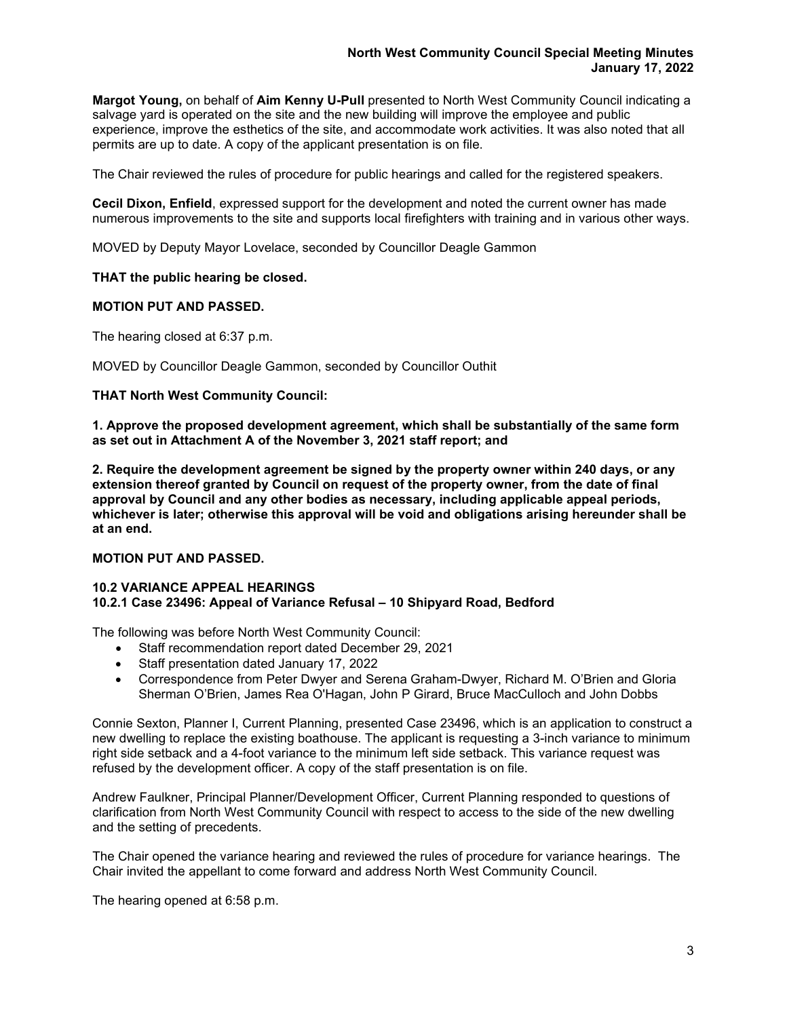**Margot Young,** on behalf of **Aim Kenny U-Pull** presented to North West Community Council indicating a salvage yard is operated on the site and the new building will improve the employee and public experience, improve the esthetics of the site, and accommodate work activities. It was also noted that all permits are up to date. A copy of the applicant presentation is on file.

The Chair reviewed the rules of procedure for public hearings and called for the registered speakers.

**Cecil Dixon, Enfield**, expressed support for the development and noted the current owner has made numerous improvements to the site and supports local firefighters with training and in various other ways.

MOVED by Deputy Mayor Lovelace, seconded by Councillor Deagle Gammon

## **THAT the public hearing be closed.**

## **MOTION PUT AND PASSED.**

The hearing closed at 6:37 p.m.

MOVED by Councillor Deagle Gammon, seconded by Councillor Outhit

## **THAT North West Community Council:**

**1. Approve the proposed development agreement, which shall be substantially of the same form as set out in Attachment A of the November 3, 2021 staff report; and**

**2. Require the development agreement be signed by the property owner within 240 days, or any extension thereof granted by Council on request of the property owner, from the date of final approval by Council and any other bodies as necessary, including applicable appeal periods, whichever is later; otherwise this approval will be void and obligations arising hereunder shall be at an end.**

## **MOTION PUT AND PASSED.**

#### **10.2 VARIANCE APPEAL HEARINGS 10.2.1 Case 23496: Appeal of Variance Refusal – 10 Shipyard Road, Bedford**

The following was before North West Community Council:

- Staff recommendation report dated December 29, 2021
- Staff presentation dated January 17, 2022
- Correspondence from Peter Dwyer and Serena Graham-Dwyer, Richard M. O'Brien and Gloria Sherman O'Brien, James Rea O'Hagan, John P Girard, Bruce MacCulloch and John Dobbs

Connie Sexton, Planner I, Current Planning, presented Case 23496, which is an application to construct a new dwelling to replace the existing boathouse. The applicant is requesting a 3-inch variance to minimum right side setback and a 4-foot variance to the minimum left side setback. This variance request was refused by the development officer. A copy of the staff presentation is on file.

Andrew Faulkner, Principal Planner/Development Officer, Current Planning responded to questions of clarification from North West Community Council with respect to access to the side of the new dwelling and the setting of precedents.

The Chair opened the variance hearing and reviewed the rules of procedure for variance hearings. The Chair invited the appellant to come forward and address North West Community Council.

The hearing opened at 6:58 p.m.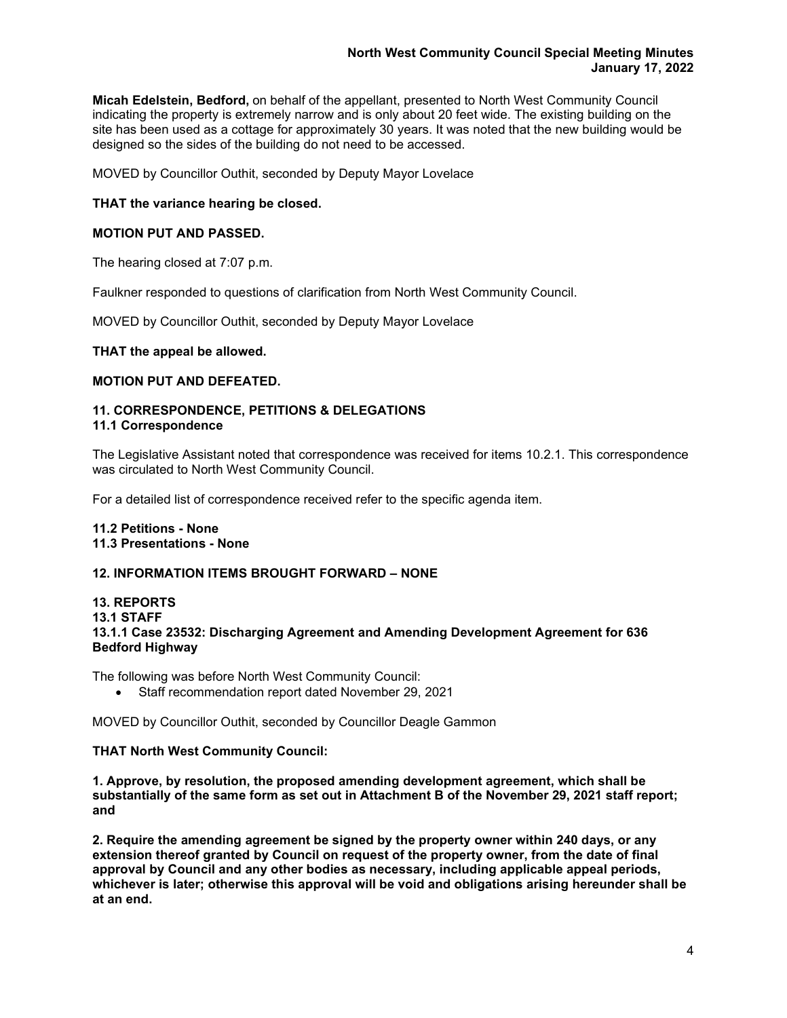**Micah Edelstein, Bedford,** on behalf of the appellant, presented to North West Community Council indicating the property is extremely narrow and is only about 20 feet wide. The existing building on the site has been used as a cottage for approximately 30 years. It was noted that the new building would be designed so the sides of the building do not need to be accessed.

MOVED by Councillor Outhit, seconded by Deputy Mayor Lovelace

## **THAT the variance hearing be closed.**

## **MOTION PUT AND PASSED.**

The hearing closed at 7:07 p.m.

Faulkner responded to questions of clarification from North West Community Council.

MOVED by Councillor Outhit, seconded by Deputy Mayor Lovelace

**THAT the appeal be allowed.**

## **MOTION PUT AND DEFEATED.**

#### **11. CORRESPONDENCE, PETITIONS & DELEGATIONS 11.1 Correspondence**

The Legislative Assistant noted that correspondence was received for items 10.2.1. This correspondence was circulated to North West Community Council.

For a detailed list of correspondence received refer to the specific agenda item.

# **11.2 Petitions - None 11.3 Presentations - None**

## **12. INFORMATION ITEMS BROUGHT FORWARD – NONE**

## **13. REPORTS 13.1 STAFF 13.1.1 Case 23532: Discharging Agreement and Amending Development Agreement for 636 Bedford Highway**

The following was before North West Community Council:

• Staff recommendation report dated November 29, 2021

MOVED by Councillor Outhit, seconded by Councillor Deagle Gammon

## **THAT North West Community Council:**

**1. Approve, by resolution, the proposed amending development agreement, which shall be substantially of the same form as set out in Attachment B of the November 29, 2021 staff report; and**

**2. Require the amending agreement be signed by the property owner within 240 days, or any extension thereof granted by Council on request of the property owner, from the date of final approval by Council and any other bodies as necessary, including applicable appeal periods, whichever is later; otherwise this approval will be void and obligations arising hereunder shall be at an end.**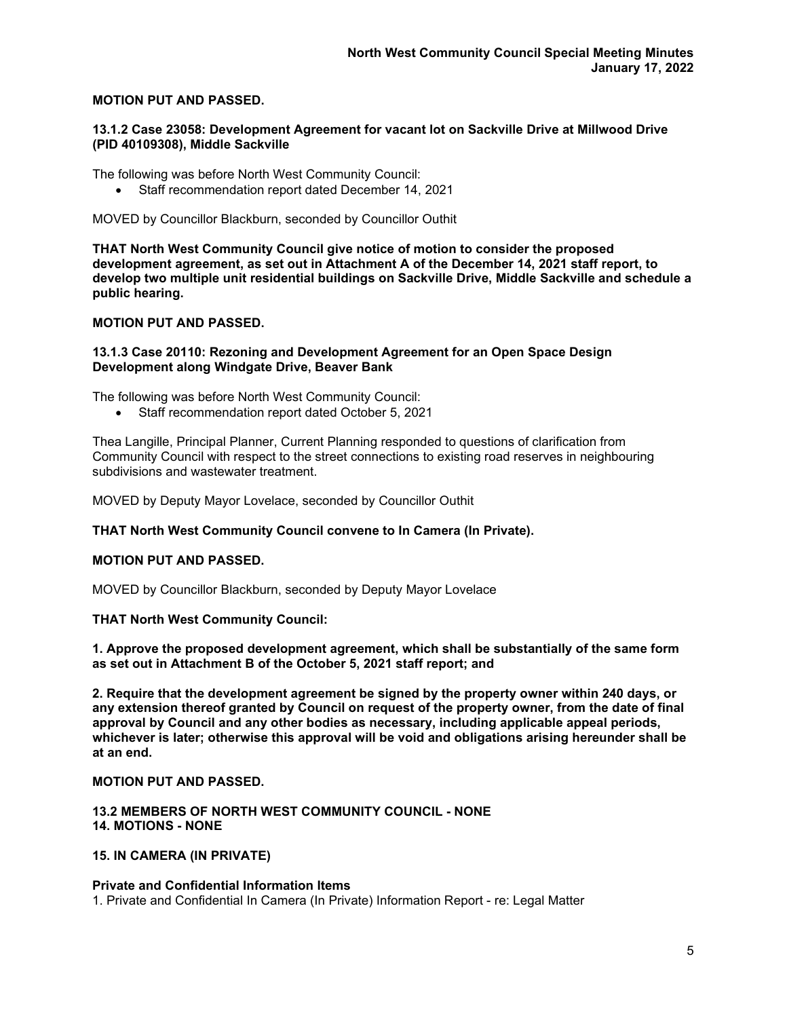## **MOTION PUT AND PASSED.**

#### **13.1.2 Case 23058: Development Agreement for vacant lot on Sackville Drive at Millwood Drive (PID 40109308), Middle Sackville**

The following was before North West Community Council:

• Staff recommendation report dated December 14, 2021

MOVED by Councillor Blackburn, seconded by Councillor Outhit

**THAT North West Community Council give notice of motion to consider the proposed development agreement, as set out in Attachment A of the December 14, 2021 staff report, to develop two multiple unit residential buildings on Sackville Drive, Middle Sackville and schedule a public hearing.**

## **MOTION PUT AND PASSED.**

## **13.1.3 Case 20110: Rezoning and Development Agreement for an Open Space Design Development along Windgate Drive, Beaver Bank**

The following was before North West Community Council:

• Staff recommendation report dated October 5, 2021

Thea Langille, Principal Planner, Current Planning responded to questions of clarification from Community Council with respect to the street connections to existing road reserves in neighbouring subdivisions and wastewater treatment.

MOVED by Deputy Mayor Lovelace, seconded by Councillor Outhit

## **THAT North West Community Council convene to In Camera (In Private).**

## **MOTION PUT AND PASSED.**

MOVED by Councillor Blackburn, seconded by Deputy Mayor Lovelace

## **THAT North West Community Council:**

**1. Approve the proposed development agreement, which shall be substantially of the same form as set out in Attachment B of the October 5, 2021 staff report; and** 

**2. Require that the development agreement be signed by the property owner within 240 days, or any extension thereof granted by Council on request of the property owner, from the date of final approval by Council and any other bodies as necessary, including applicable appeal periods, whichever is later; otherwise this approval will be void and obligations arising hereunder shall be at an end.**

## **MOTION PUT AND PASSED.**

## **13.2 MEMBERS OF NORTH WEST COMMUNITY COUNCIL - NONE 14. MOTIONS - NONE**

## **15. IN CAMERA (IN PRIVATE)**

## **Private and Confidential Information Items**

1. Private and Confidential In Camera (In Private) Information Report - re: Legal Matter